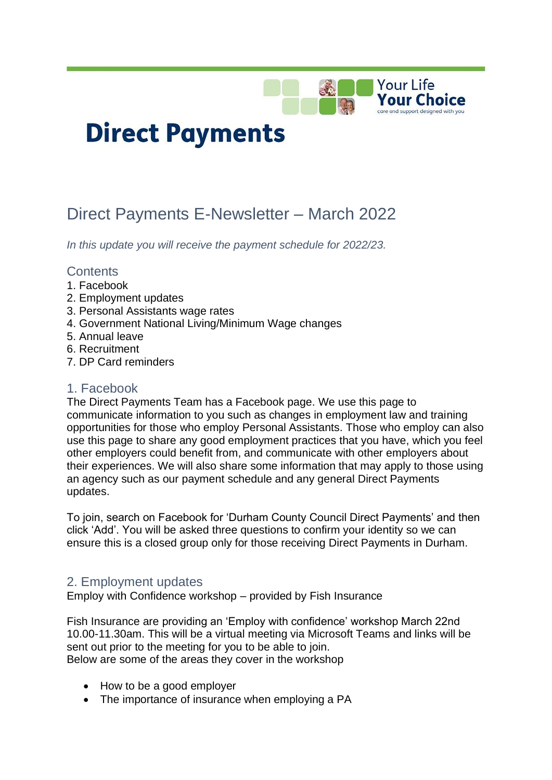

# **Direct Payments**

# Direct Payments E-Newsletter – March 2022

*In this update you will receive the payment schedule for 2022/23.*

## **Contents**

- 1. Facebook
- 2. Employment updates
- 3. Personal Assistants wage rates
- 4. Government National Living/Minimum Wage changes
- 5. Annual leave
- 6. Recruitment
- 7. DP Card reminders

#### 1. Facebook

The Direct Payments Team has a Facebook page. We use this page to communicate information to you such as changes in employment law and training opportunities for those who employ Personal Assistants. Those who employ can also use this page to share any good employment practices that you have, which you feel other employers could benefit from, and communicate with other employers about their experiences. We will also share some information that may apply to those using an agency such as our payment schedule and any general Direct Payments updates.

To join, search on Facebook for 'Durham County Council Direct Payments' and then click 'Add'. You will be asked three questions to confirm your identity so we can ensure this is a closed group only for those receiving Direct Payments in Durham.

# 2. Employment updates

Employ with Confidence workshop – provided by Fish Insurance

Fish Insurance are providing an 'Employ with confidence' workshop March 22nd 10.00-11.30am. This will be a virtual meeting via Microsoft Teams and links will be sent out prior to the meeting for you to be able to join. Below are some of the areas they cover in the workshop

- How to be a good employer
- The importance of insurance when employing a PA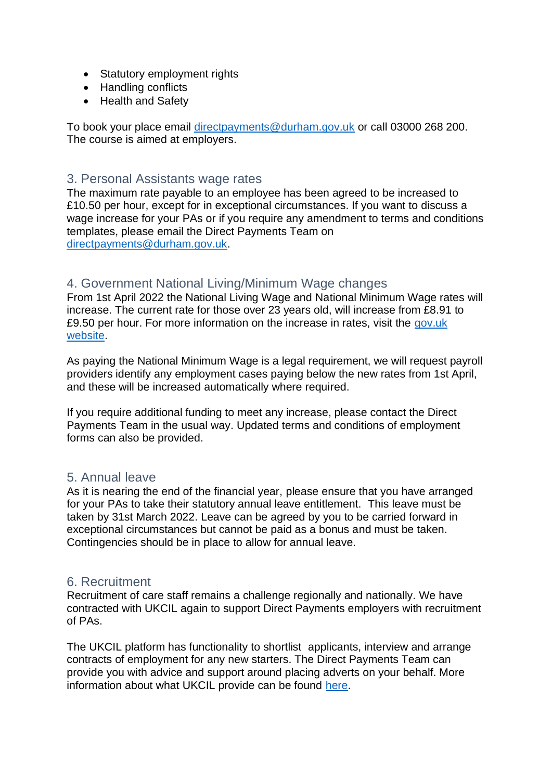- Statutory employment rights
- Handling conflicts
- Health and Safety

To book your place email [directpayments@durham.gov.uk](mailto:directpayments@durham.gov.uk) or call 03000 268 200. The course is aimed at employers.

# 3. Personal Assistants wage rates

The maximum rate payable to an employee has been agreed to be increased to £10.50 per hour, except for in exceptional circumstances. If you want to discuss a wage increase for your PAs or if you require any amendment to terms and conditions templates, please email the Direct Payments Team on [directpayments@durham.gov.uk.](mailto:directpayments@durham.gov.uk)

# 4. Government National Living/Minimum Wage changes

From 1st April 2022 the National Living Wage and National Minimum Wage rates will increase. The current rate for those over 23 years old, will increase from £8.91 to £9.50 per hour. For more information on the increase in rates, visit the [gov.uk](https://www.gov.uk/government/publications/minimum-wage-rates-for-2022)  [website.](https://www.gov.uk/government/publications/minimum-wage-rates-for-2022)

As paying the National Minimum Wage is a legal requirement, we will request payroll providers identify any employment cases paying below the new rates from 1st April, and these will be increased automatically where required.

If you require additional funding to meet any increase, please contact the Direct Payments Team in the usual way. Updated terms and conditions of employment forms can also be provided.

## 5. Annual leave

As it is nearing the end of the financial year, please ensure that you have arranged for your PAs to take their statutory annual leave entitlement. This leave must be taken by 31st March 2022. Leave can be agreed by you to be carried forward in exceptional circumstances but cannot be paid as a bonus and must be taken. Contingencies should be in place to allow for annual leave.

## 6. Recruitment

Recruitment of care staff remains a challenge regionally and nationally. We have contracted with UKCIL again to support Direct Payments employers with recruitment of PAs.

The UKCIL platform has functionality to shortlist applicants, interview and arrange contracts of employment for any new starters. The Direct Payments Team can provide you with advice and support around placing adverts on your behalf. More information about what UKCIL provide can be found [here.](https://ukcil.com/)